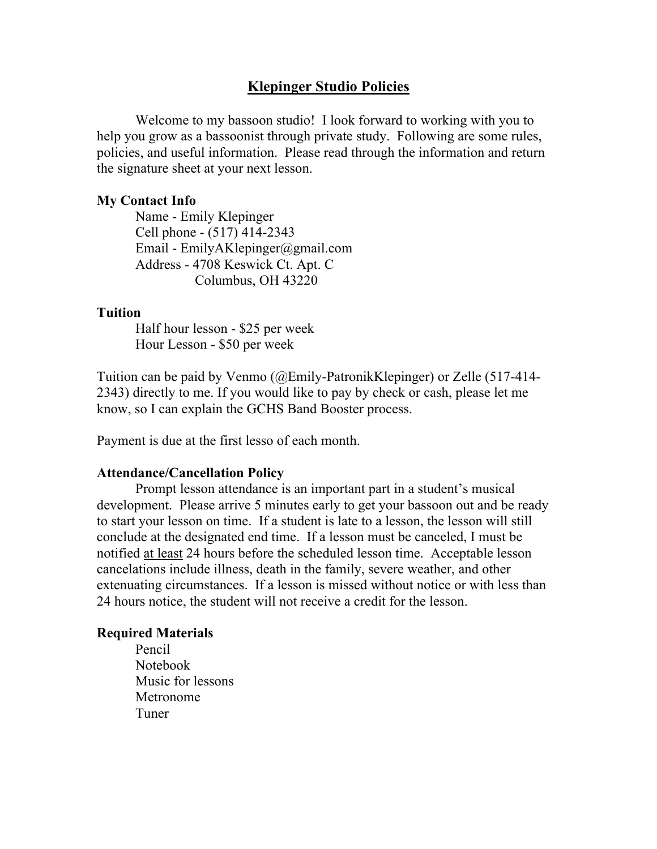# **Klepinger Studio Policies**

Welcome to my bassoon studio! I look forward to working with you to help you grow as a bassoonist through private study. Following are some rules, policies, and useful information. Please read through the information and return the signature sheet at your next lesson.

# **My Contact Info**

Name - Emily Klepinger Cell phone - (517) 414-2343 Email - EmilyAKlepinger@gmail.com Address - 4708 Keswick Ct. Apt. C Columbus, OH 43220

# **Tuition**

Half hour lesson - \$25 per week Hour Lesson - \$50 per week

Tuition can be paid by Venmo (@Emily-PatronikKlepinger) or Zelle (517-414- 2343) directly to me. If you would like to pay by check or cash, please let me know, so I can explain the GCHS Band Booster process.

Payment is due at the first lesso of each month.

#### **Attendance/Cancellation Policy**

Prompt lesson attendance is an important part in a student's musical development. Please arrive 5 minutes early to get your bassoon out and be ready to start your lesson on time. If a student is late to a lesson, the lesson will still conclude at the designated end time. If a lesson must be canceled, I must be notified at least 24 hours before the scheduled lesson time. Acceptable lesson cancelations include illness, death in the family, severe weather, and other extenuating circumstances. If a lesson is missed without notice or with less than 24 hours notice, the student will not receive a credit for the lesson.

## **Required Materials**

Pencil Notebook Music for lessons Metronome Tuner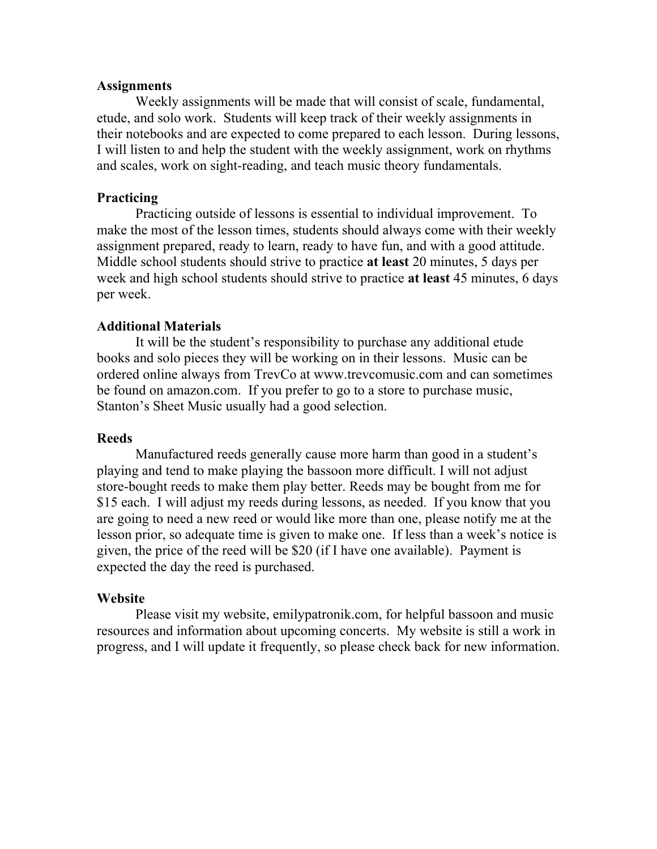## **Assignments**

Weekly assignments will be made that will consist of scale, fundamental, etude, and solo work. Students will keep track of their weekly assignments in their notebooks and are expected to come prepared to each lesson. During lessons, I will listen to and help the student with the weekly assignment, work on rhythms and scales, work on sight-reading, and teach music theory fundamentals.

# **Practicing**

Practicing outside of lessons is essential to individual improvement. To make the most of the lesson times, students should always come with their weekly assignment prepared, ready to learn, ready to have fun, and with a good attitude. Middle school students should strive to practice **at least** 20 minutes, 5 days per week and high school students should strive to practice **at least** 45 minutes, 6 days per week.

### **Additional Materials**

It will be the student's responsibility to purchase any additional etude books and solo pieces they will be working on in their lessons. Music can be ordered online always from TrevCo at www.trevcomusic.com and can sometimes be found on amazon.com. If you prefer to go to a store to purchase music, Stanton's Sheet Music usually had a good selection.

#### **Reeds**

Manufactured reeds generally cause more harm than good in a student's playing and tend to make playing the bassoon more difficult. I will not adjust store-bought reeds to make them play better. Reeds may be bought from me for \$15 each. I will adjust my reeds during lessons, as needed. If you know that you are going to need a new reed or would like more than one, please notify me at the lesson prior, so adequate time is given to make one. If less than a week's notice is given, the price of the reed will be \$20 (if I have one available). Payment is expected the day the reed is purchased.

#### **Website**

Please visit my website, emilypatronik.com, for helpful bassoon and music resources and information about upcoming concerts. My website is still a work in progress, and I will update it frequently, so please check back for new information.